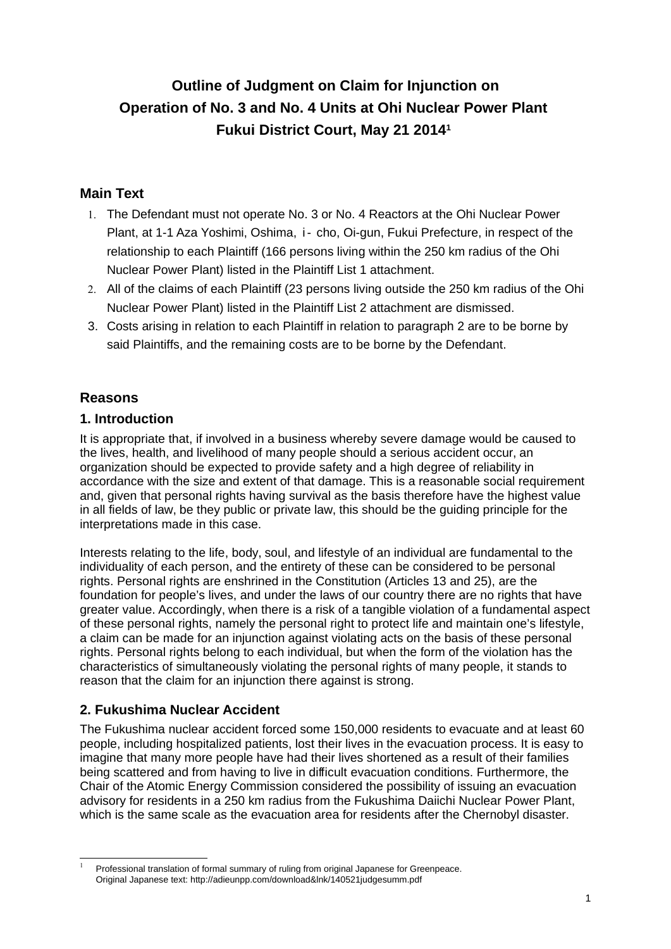# **Outline of Judgment on Claim for Injunction on Operation of No. 3 and No. 4 Units at Ohi Nuclear Power Plant Fukui District Court, May 21 2014[1](#page-0-0)**

# **Main Text**

- 1. The Defendant must not operate No. 3 or No. 4 Reactors at the Ohi Nuclear Power Plant, at 1-1 Aza Yoshimi, Oshima, i- cho, Oi-gun, Fukui Prefecture, in respect of the relationship to each Plaintiff (166 persons living within the 250 km radius of the Ohi Nuclear Power Plant) listed in the Plaintiff List 1 attachment.
- 2. All of the claims of each Plaintiff (23 persons living outside the 250 km radius of the Ohi Nuclear Power Plant) listed in the Plaintiff List 2 attachment are dismissed.
- 3. Costs arising in relation to each Plaintiff in relation to paragraph 2 are to be borne by said Plaintiffs, and the remaining costs are to be borne by the Defendant.

# **Reasons**

# **1. Introduction**

It is appropriate that, if involved in a business whereby severe damage would be caused to the lives, health, and livelihood of many people should a serious accident occur, an organization should be expected to provide safety and a high degree of reliability in accordance with the size and extent of that damage. This is a reasonable social requirement and, given that personal rights having survival as the basis therefore have the highest value in all fields of law, be they public or private law, this should be the guiding principle for the interpretations made in this case.

Interests relating to the life, body, soul, and lifestyle of an individual are fundamental to the individuality of each person, and the entirety of these can be considered to be personal rights. Personal rights are enshrined in the Constitution (Articles 13 and 25), are the foundation for people's lives, and under the laws of our country there are no rights that have greater value. Accordingly, when there is a risk of a tangible violation of a fundamental aspect of these personal rights, namely the personal right to protect life and maintain one's lifestyle, a claim can be made for an injunction against violating acts on the basis of these personal rights. Personal rights belong to each individual, but when the form of the violation has the characteristics of simultaneously violating the personal rights of many people, it stands to reason that the claim for an injunction there against is strong.

# **2. Fukushima Nuclear Accident**

The Fukushima nuclear accident forced some 150,000 residents to evacuate and at least 60 people, including hospitalized patients, lost their lives in the evacuation process. It is easy to imagine that many more people have had their lives shortened as a result of their families being scattered and from having to live in difficult evacuation conditions. Furthermore, the Chair of the Atomic Energy Commission considered the possibility of issuing an evacuation advisory for residents in a 250 km radius from the Fukushima Daiichi Nuclear Power Plant, which is the same scale as the evacuation area for residents after the Chernobyl disaster.

<span id="page-0-0"></span>Professional translation of formal summary of ruling from original Japanese for Greenpeace. Original Japanese text: http://adieunpp.com/download&lnk/140521judgesumm.pdf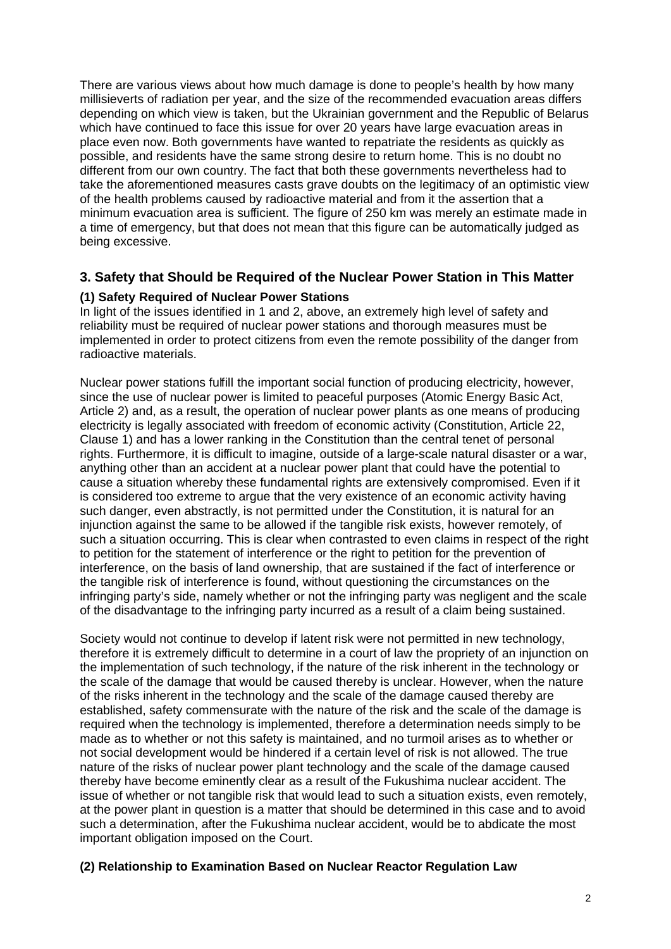There are various views about how much damage is done to people's health by how many millisieverts of radiation per year, and the size of the recommended evacuation areas differs depending on which view is taken, but the Ukrainian government and the Republic of Belarus which have continued to face this issue for over 20 years have large evacuation areas in place even now. Both governments have wanted to repatriate the residents as quickly as possible, and residents have the same strong desire to return home. This is no doubt no different from our own country. The fact that both these governments nevertheless had to take the aforementioned measures casts grave doubts on the legitimacy of an optimistic view of the health problems caused by radioactive material and from it the assertion that a minimum evacuation area is sufficient. The figure of 250 km was merely an estimate made in a time of emergency, but that does not mean that this figure can be automatically judged as being excessive.

# **3. Safety that Should be Required of the Nuclear Power Station in This Matter**

## **(1) Safety Required of Nuclear Power Stations**

In light of the issues identified in 1 and 2, above, an extremely high level of safety and reliability must be required of nuclear power stations and thorough measures must be implemented in order to protect citizens from even the remote possibility of the danger from radioactive materials.

Nuclear power stations fulfill the important social function of producing electricity, however, since the use of nuclear power is limited to peaceful purposes (Atomic Energy Basic Act, Article 2) and, as a result, the operation of nuclear power plants as one means of producing electricity is legally associated with freedom of economic activity (Constitution, Article 22, Clause 1) and has a lower ranking in the Constitution than the central tenet of personal rights. Furthermore, it is difficult to imagine, outside of a large-scale natural disaster or a war, anything other than an accident at a nuclear power plant that could have the potential to cause a situation whereby these fundamental rights are extensively compromised. Even if it is considered too extreme to argue that the very existence of an economic activity having such danger, even abstractly, is not permitted under the Constitution, it is natural for an injunction against the same to be allowed if the tangible risk exists, however remotely, of such a situation occurring. This is clear when contrasted to even claims in respect of the right to petition for the statement of interference or the right to petition for the prevention of interference, on the basis of land ownership, that are sustained if the fact of interference or the tangible risk of interference is found, without questioning the circumstances on the infringing party's side, namely whether or not the infringing party was negligent and the scale of the disadvantage to the infringing party incurred as a result of a claim being sustained.

Society would not continue to develop if latent risk were not permitted in new technology, therefore it is extremely difficult to determine in a court of law the propriety of an injunction on the implementation of such technology, if the nature of the risk inherent in the technology or the scale of the damage that would be caused thereby is unclear. However, when the nature of the risks inherent in the technology and the scale of the damage caused thereby are established, safety commensurate with the nature of the risk and the scale of the damage is required when the technology is implemented, therefore a determination needs simply to be made as to whether or not this safety is maintained, and no turmoil arises as to whether or not social development would be hindered if a certain level of risk is not allowed. The true nature of the risks of nuclear power plant technology and the scale of the damage caused thereby have become eminently clear as a result of the Fukushima nuclear accident. The issue of whether or not tangible risk that would lead to such a situation exists, even remotely, at the power plant in question is a matter that should be determined in this case and to avoid such a determination, after the Fukushima nuclear accident, would be to abdicate the most important obligation imposed on the Court.

## **(2) Relationship to Examination Based on Nuclear Reactor Regulation Law**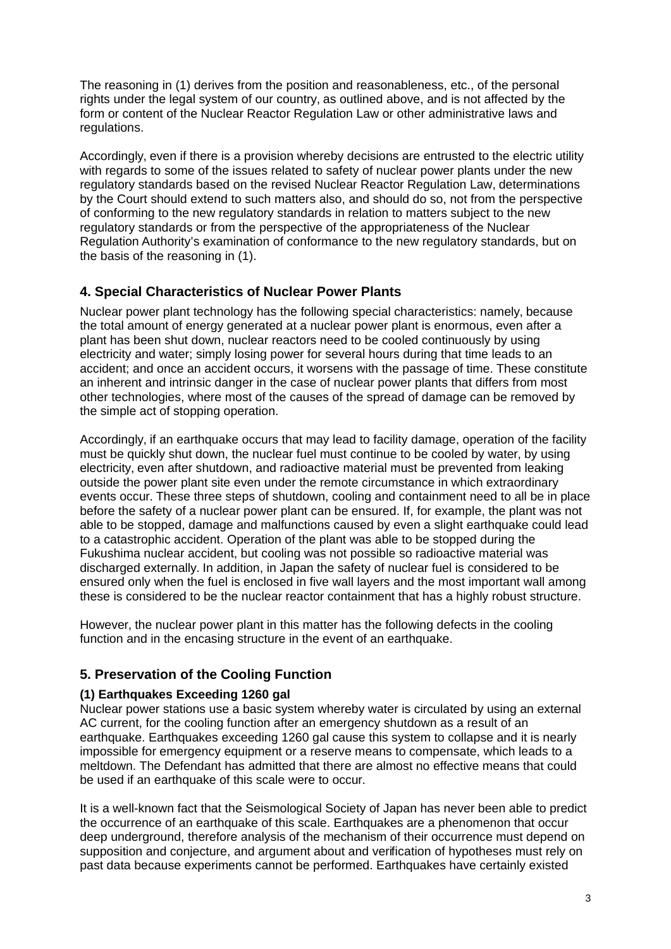The reasoning in (1) derives from the position and reasonableness, etc., of the personal rights under the legal system of our country, as outlined above, and is not affected by the form or content of the Nuclear Reactor Regulation Law or other administrative laws and regulations.

Accordingly, even if there is a provision whereby decisions are entrusted to the electric utility with regards to some of the issues related to safety of nuclear power plants under the new regulatory standards based on the revised Nuclear Reactor Regulation Law, determinations by the Court should extend to such matters also, and should do so, not from the perspective of conforming to the new regulatory standards in relation to matters subject to the new regulatory standards or from the perspective of the appropriateness of the Nuclear Regulation Authority's examination of conformance to the new regulatory standards, but on the basis of the reasoning in (1).

## **4. Special Characteristics of Nuclear Power Plants**

Nuclear power plant technology has the following special characteristics: namely, because the total amount of energy generated at a nuclear power plant is enormous, even after a plant has been shut down, nuclear reactors need to be cooled continuously by using electricity and water; simply losing power for several hours during that time leads to an accident; and once an accident occurs, it worsens with the passage of time. These constitute an inherent and intrinsic danger in the case of nuclear power plants that differs from most other technologies, where most of the causes of the spread of damage can be removed by the simple act of stopping operation.

Accordingly, if an earthquake occurs that may lead to facility damage, operation of the facility must be quickly shut down, the nuclear fuel must continue to be cooled by water, by using electricity, even after shutdown, and radioactive material must be prevented from leaking outside the power plant site even under the remote circumstance in which extraordinary events occur. These three steps of shutdown, cooling and containment need to all be in place before the safety of a nuclear power plant can be ensured. If, for example, the plant was not able to be stopped, damage and malfunctions caused by even a slight earthquake could lead to a catastrophic accident. Operation of the plant was able to be stopped during the Fukushima nuclear accident, but cooling was not possible so radioactive material was discharged externally. In addition, in Japan the safety of nuclear fuel is considered to be ensured only when the fuel is enclosed in five wall layers and the most important wall among these is considered to be the nuclear reactor containment that has a highly robust structure.

However, the nuclear power plant in this matter has the following defects in the cooling function and in the encasing structure in the event of an earthquake.

## **5. Preservation of the Cooling Function**

#### **(1) Earthquakes Exceeding 1260 gal**

Nuclear power stations use a basic system whereby water is circulated by using an external AC current, for the cooling function after an emergency shutdown as a result of an earthquake. Earthquakes exceeding 1260 gal cause this system to collapse and it is nearly impossible for emergency equipment or a reserve means to compensate, which leads to a meltdown. The Defendant has admitted that there are almost no effective means that could be used if an earthquake of this scale were to occur.

It is a well-known fact that the Seismological Society of Japan has never been able to predict the occurrence of an earthquake of this scale. Earthquakes are a phenomenon that occur deep underground, therefore analysis of the mechanism of their occurrence must depend on supposition and conjecture, and argument about and verification of hypotheses must rely on past data because experiments cannot be performed. Earthquakes have certainly existed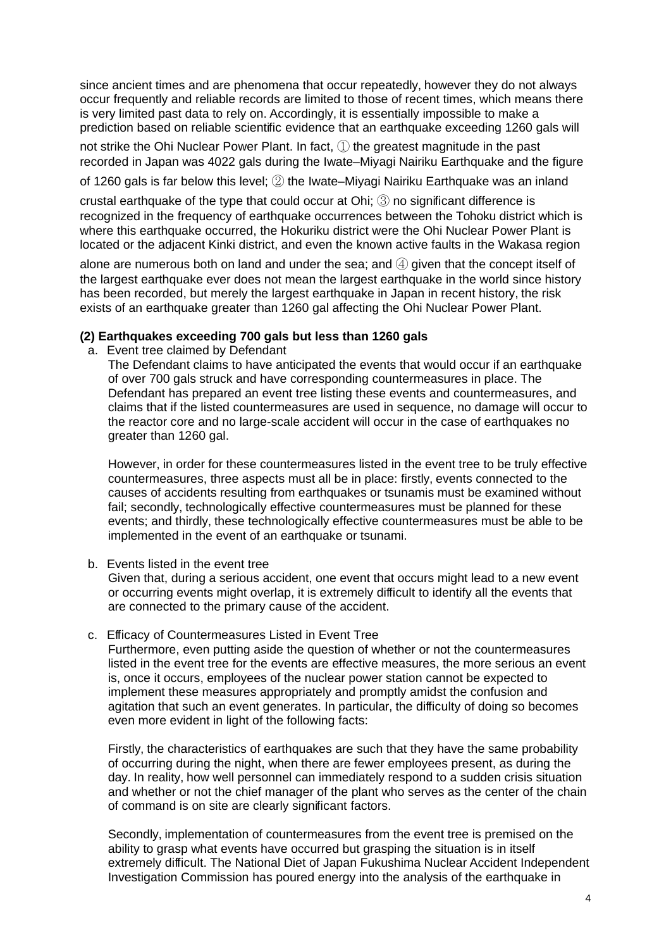since ancient times and are phenomena that occur repeatedly, however they do not always occur frequently and reliable records are limited to those of recent times, which means there is very limited past data to rely on. Accordingly, it is essentially impossible to make a prediction based on reliable scientific evidence that an earthquake exceeding 1260 gals will

not strike the Ohi Nuclear Power Plant. In fact, ① the greatest magnitude in the past recorded in Japan was 4022 gals during the Iwate–Miyagi Nairiku Earthquake and the figure

of 1260 gals is far below this level; ② the Iwate–Miyagi Nairiku Earthquake was an inland

crustal earthquake of the type that could occur at Ohi; ③ no significant difference is recognized in the frequency of earthquake occurrences between the Tohoku district which is where this earthquake occurred, the Hokuriku district were the Ohi Nuclear Power Plant is located or the adjacent Kinki district, and even the known active faults in the Wakasa region

alone are numerous both on land and under the sea; and  $@$  given that the concept itself of the largest earthquake ever does not mean the largest earthquake in the world since history has been recorded, but merely the largest earthquake in Japan in recent history, the risk exists of an earthquake greater than 1260 gal affecting the Ohi Nuclear Power Plant.

#### **(2) Earthquakes exceeding 700 gals but less than 1260 gals**

a. Event tree claimed by Defendant

The Defendant claims to have anticipated the events that would occur if an earthquake of over 700 gals struck and have corresponding countermeasures in place. The Defendant has prepared an event tree listing these events and countermeasures, and claims that if the listed countermeasures are used in sequence, no damage will occur to the reactor core and no large-scale accident will occur in the case of earthquakes no greater than 1260 gal.

However, in order for these countermeasures listed in the event tree to be truly effective countermeasures, three aspects must all be in place: firstly, events connected to the causes of accidents resulting from earthquakes or tsunamis must be examined without fail; secondly, technologically effective countermeasures must be planned for these events; and thirdly, these technologically effective countermeasures must be able to be implemented in the event of an earthquake or tsunami.

b. Events listed in the event tree

Given that, during a serious accident, one event that occurs might lead to a new event or occurring events might overlap, it is extremely difficult to identify all the events that are connected to the primary cause of the accident.

c. Efficacy of Countermeasures Listed in Event Tree

Furthermore, even putting aside the question of whether or not the countermeasures listed in the event tree for the events are effective measures, the more serious an event is, once it occurs, employees of the nuclear power station cannot be expected to implement these measures appropriately and promptly amidst the confusion and agitation that such an event generates. In particular, the difficulty of doing so becomes even more evident in light of the following facts:

Firstly, the characteristics of earthquakes are such that they have the same probability of occurring during the night, when there are fewer employees present, as during the day. In reality, how well personnel can immediately respond to a sudden crisis situation and whether or not the chief manager of the plant who serves as the center of the chain of command is on site are clearly significant factors.

Secondly, implementation of countermeasures from the event tree is premised on the ability to grasp what events have occurred but grasping the situation is in itself extremely difficult. The National Diet of Japan Fukushima Nuclear Accident Independent Investigation Commission has poured energy into the analysis of the earthquake in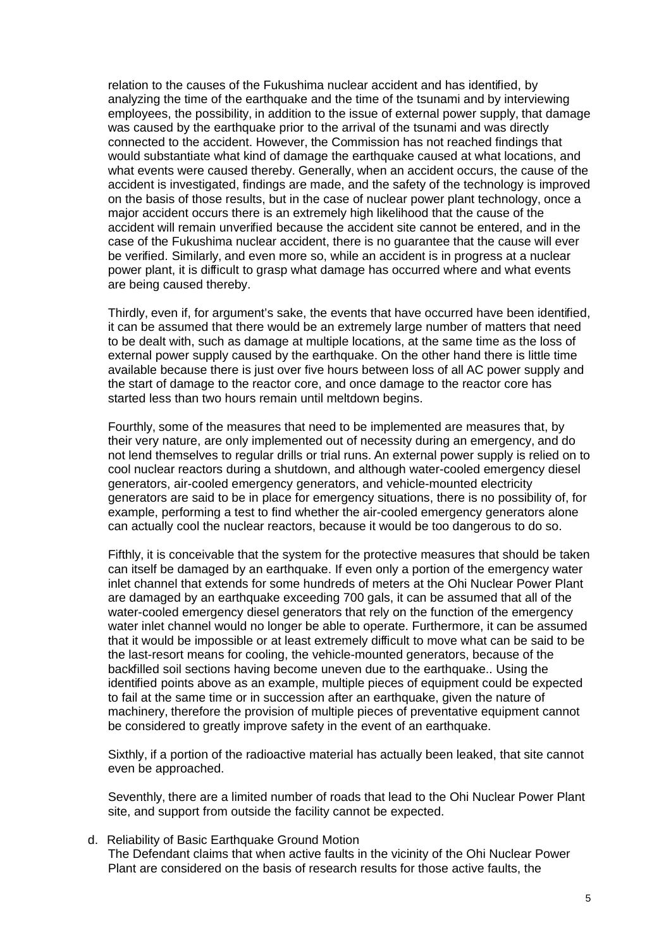relation to the causes of the Fukushima nuclear accident and has identified, by analyzing the time of the earthquake and the time of the tsunami and by interviewing employees, the possibility, in addition to the issue of external power supply, that damage was caused by the earthquake prior to the arrival of the tsunami and was directly connected to the accident. However, the Commission has not reached findings that would substantiate what kind of damage the earthquake caused at what locations, and what events were caused thereby. Generally, when an accident occurs, the cause of the accident is investigated, findings are made, and the safety of the technology is improved on the basis of those results, but in the case of nuclear power plant technology, once a major accident occurs there is an extremely high likelihood that the cause of the accident will remain unverified because the accident site cannot be entered, and in the case of the Fukushima nuclear accident, there is no guarantee that the cause will ever be verified. Similarly, and even more so, while an accident is in progress at a nuclear power plant, it is difficult to grasp what damage has occurred where and what events are being caused thereby.

Thirdly, even if, for argument's sake, the events that have occurred have been identified, it can be assumed that there would be an extremely large number of matters that need to be dealt with, such as damage at multiple locations, at the same time as the loss of external power supply caused by the earthquake. On the other hand there is little time available because there is just over five hours between loss of all AC power supply and the start of damage to the reactor core, and once damage to the reactor core has started less than two hours remain until meltdown begins.

Fourthly, some of the measures that need to be implemented are measures that, by their very nature, are only implemented out of necessity during an emergency, and do not lend themselves to regular drills or trial runs. An external power supply is relied on to cool nuclear reactors during a shutdown, and although water-cooled emergency diesel generators, air-cooled emergency generators, and vehicle-mounted electricity generators are said to be in place for emergency situations, there is no possibility of, for example, performing a test to find whether the air-cooled emergency generators alone can actually cool the nuclear reactors, because it would be too dangerous to do so.

Fifthly, it is conceivable that the system for the protective measures that should be taken can itself be damaged by an earthquake. If even only a portion of the emergency water inlet channel that extends for some hundreds of meters at the Ohi Nuclear Power Plant are damaged by an earthquake exceeding 700 gals, it can be assumed that all of the water-cooled emergency diesel generators that rely on the function of the emergency water inlet channel would no longer be able to operate. Furthermore, it can be assumed that it would be impossible or at least extremely difficult to move what can be said to be the last-resort means for cooling, the vehicle-mounted generators, because of the backfilled soil sections having become uneven due to the earthquake.. Using the identified points above as an example, multiple pieces of equipment could be expected to fail at the same time or in succession after an earthquake, given the nature of machinery, therefore the provision of multiple pieces of preventative equipment cannot be considered to greatly improve safety in the event of an earthquake.

Sixthly, if a portion of the radioactive material has actually been leaked, that site cannot even be approached.

Seventhly, there are a limited number of roads that lead to the Ohi Nuclear Power Plant site, and support from outside the facility cannot be expected.

d. Reliability of Basic Earthquake Ground Motion

The Defendant claims that when active faults in the vicinity of the Ohi Nuclear Power Plant are considered on the basis of research results for those active faults, the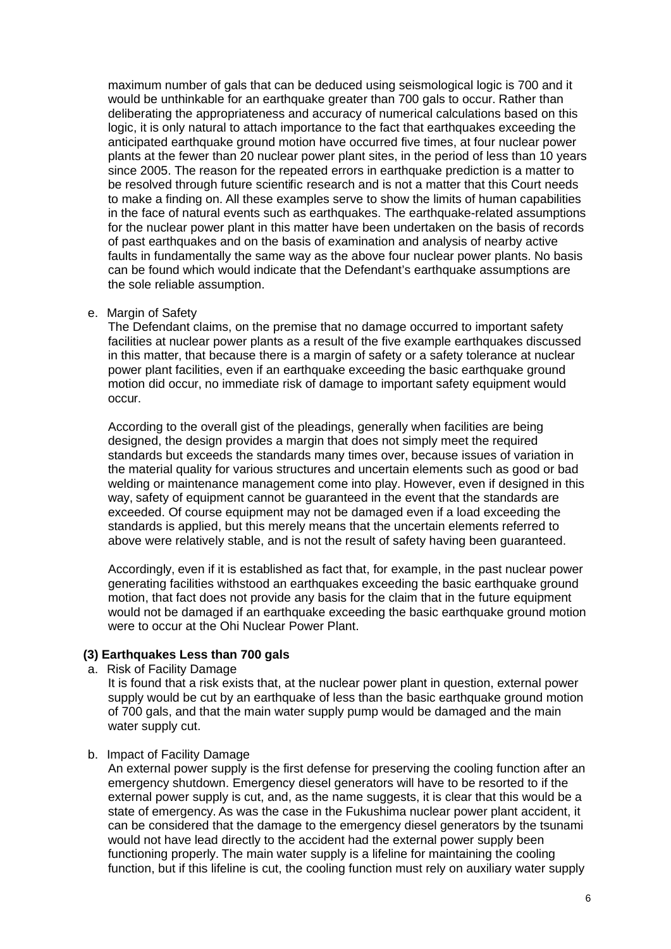maximum number of gals that can be deduced using seismological logic is 700 and it would be unthinkable for an earthquake greater than 700 gals to occur. Rather than deliberating the appropriateness and accuracy of numerical calculations based on this logic, it is only natural to attach importance to the fact that earthquakes exceeding the anticipated earthquake ground motion have occurred five times, at four nuclear power plants at the fewer than 20 nuclear power plant sites, in the period of less than 10 years since 2005. The reason for the repeated errors in earthquake prediction is a matter to be resolved through future scientific research and is not a matter that this Court needs to make a finding on. All these examples serve to show the limits of human capabilities in the face of natural events such as earthquakes. The earthquake-related assumptions for the nuclear power plant in this matter have been undertaken on the basis of records of past earthquakes and on the basis of examination and analysis of nearby active faults in fundamentally the same way as the above four nuclear power plants. No basis can be found which would indicate that the Defendant's earthquake assumptions are the sole reliable assumption.

e. Margin of Safety

The Defendant claims, on the premise that no damage occurred to important safety facilities at nuclear power plants as a result of the five example earthquakes discussed in this matter, that because there is a margin of safety or a safety tolerance at nuclear power plant facilities, even if an earthquake exceeding the basic earthquake ground motion did occur, no immediate risk of damage to important safety equipment would occur.

According to the overall gist of the pleadings, generally when facilities are being designed, the design provides a margin that does not simply meet the required standards but exceeds the standards many times over, because issues of variation in the material quality for various structures and uncertain elements such as good or bad welding or maintenance management come into play. However, even if designed in this way, safety of equipment cannot be guaranteed in the event that the standards are exceeded. Of course equipment may not be damaged even if a load exceeding the standards is applied, but this merely means that the uncertain elements referred to above were relatively stable, and is not the result of safety having been guaranteed.

Accordingly, even if it is established as fact that, for example, in the past nuclear power generating facilities withstood an earthquakes exceeding the basic earthquake ground motion, that fact does not provide any basis for the claim that in the future equipment would not be damaged if an earthquake exceeding the basic earthquake ground motion were to occur at the Ohi Nuclear Power Plant.

#### **(3) Earthquakes Less than 700 gals**

a. Risk of Facility Damage

It is found that a risk exists that, at the nuclear power plant in question, external power supply would be cut by an earthquake of less than the basic earthquake ground motion of 700 gals, and that the main water supply pump would be damaged and the main water supply cut.

b. Impact of Facility Damage

An external power supply is the first defense for preserving the cooling function after an emergency shutdown. Emergency diesel generators will have to be resorted to if the external power supply is cut, and, as the name suggests, it is clear that this would be a state of emergency. As was the case in the Fukushima nuclear power plant accident, it can be considered that the damage to the emergency diesel generators by the tsunami would not have lead directly to the accident had the external power supply been functioning properly. The main water supply is a lifeline for maintaining the cooling function, but if this lifeline is cut, the cooling function must rely on auxiliary water supply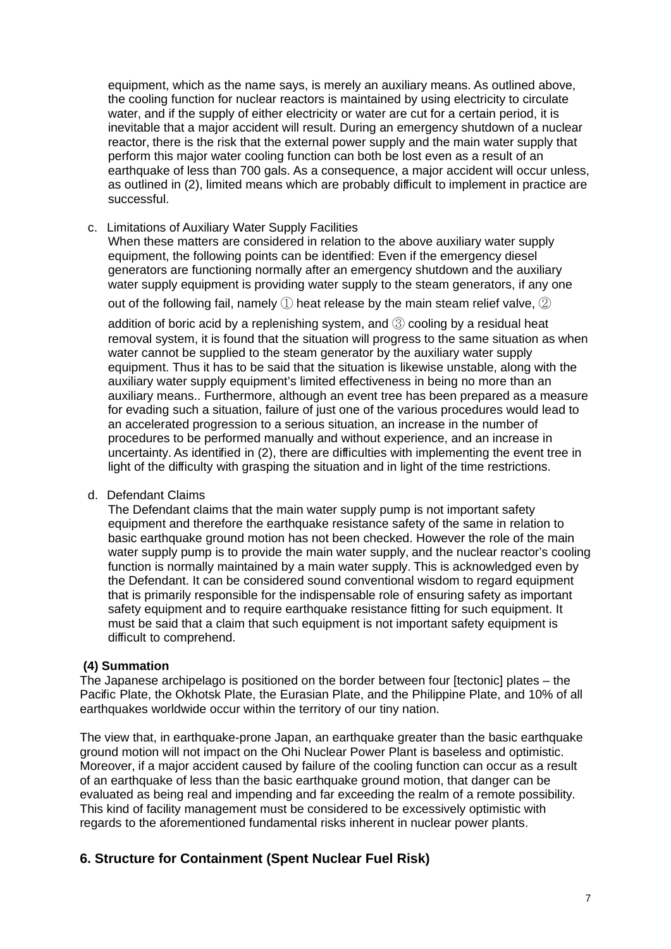equipment, which as the name says, is merely an auxiliary means. As outlined above, the cooling function for nuclear reactors is maintained by using electricity to circulate water, and if the supply of either electricity or water are cut for a certain period, it is inevitable that a major accident will result. During an emergency shutdown of a nuclear reactor, there is the risk that the external power supply and the main water supply that perform this major water cooling function can both be lost even as a result of an earthquake of less than 700 gals. As a consequence, a major accident will occur unless, as outlined in (2), limited means which are probably difficult to implement in practice are successful.

c. Limitations of Auxiliary Water Supply Facilities

When these matters are considered in relation to the above auxiliary water supply equipment, the following points can be identified: Even if the emergency diesel generators are functioning normally after an emergency shutdown and the auxiliary water supply equipment is providing water supply to the steam generators, if any one

out of the following fail, namely  $\mathbb D$  heat release by the main steam relief valve,  $\mathbb D$ 

addition of boric acid by a replenishing system, and ③ cooling by a residual heat removal system, it is found that the situation will progress to the same situation as when water cannot be supplied to the steam generator by the auxiliary water supply equipment. Thus it has to be said that the situation is likewise unstable, along with the auxiliary water supply equipment's limited effectiveness in being no more than an auxiliary means.. Furthermore, although an event tree has been prepared as a measure for evading such a situation, failure of just one of the various procedures would lead to an accelerated progression to a serious situation, an increase in the number of procedures to be performed manually and without experience, and an increase in uncertainty. As identified in (2), there are difficulties with implementing the event tree in light of the difficulty with grasping the situation and in light of the time restrictions.

d. Defendant Claims

The Defendant claims that the main water supply pump is not important safety equipment and therefore the earthquake resistance safety of the same in relation to basic earthquake ground motion has not been checked. However the role of the main water supply pump is to provide the main water supply, and the nuclear reactor's cooling function is normally maintained by a main water supply. This is acknowledged even by the Defendant. It can be considered sound conventional wisdom to regard equipment that is primarily responsible for the indispensable role of ensuring safety as important safety equipment and to require earthquake resistance fitting for such equipment. It must be said that a claim that such equipment is not important safety equipment is difficult to comprehend.

#### **(4) Summation**

The Japanese archipelago is positioned on the border between four [tectonic] plates – the Pacific Plate, the Okhotsk Plate, the Eurasian Plate, and the Philippine Plate, and 10% of all earthquakes worldwide occur within the territory of our tiny nation.

The view that, in earthquake-prone Japan, an earthquake greater than the basic earthquake ground motion will not impact on the Ohi Nuclear Power Plant is baseless and optimistic. Moreover, if a major accident caused by failure of the cooling function can occur as a result of an earthquake of less than the basic earthquake ground motion, that danger can be evaluated as being real and impending and far exceeding the realm of a remote possibility. This kind of facility management must be considered to be excessively optimistic with regards to the aforementioned fundamental risks inherent in nuclear power plants.

## **6. Structure for Containment (Spent Nuclear Fuel Risk)**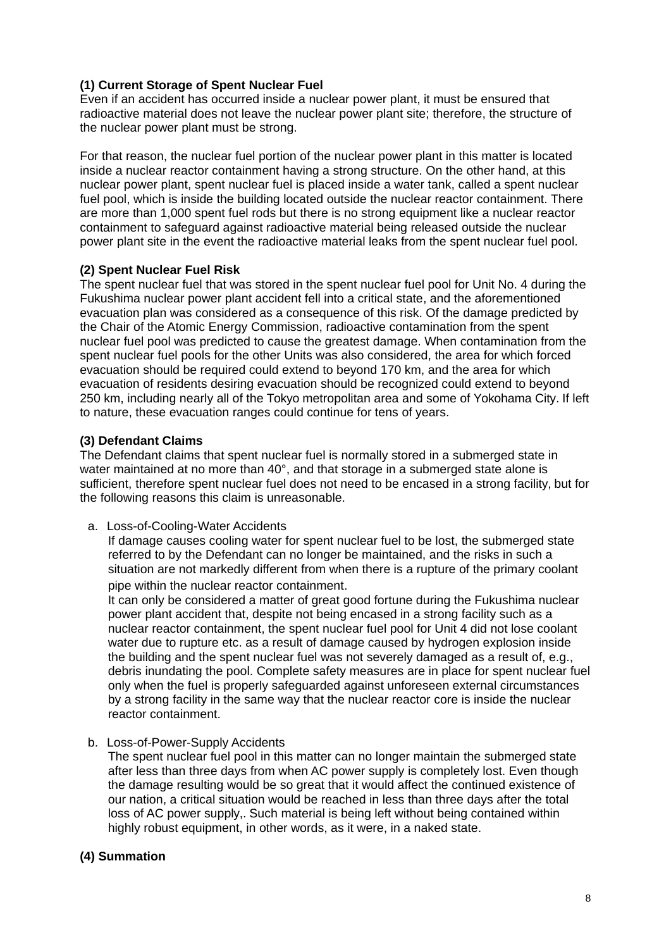#### **(1) Current Storage of Spent Nuclear Fuel**

Even if an accident has occurred inside a nuclear power plant, it must be ensured that radioactive material does not leave the nuclear power plant site; therefore, the structure of the nuclear power plant must be strong.

For that reason, the nuclear fuel portion of the nuclear power plant in this matter is located inside a nuclear reactor containment having a strong structure. On the other hand, at this nuclear power plant, spent nuclear fuel is placed inside a water tank, called a spent nuclear fuel pool, which is inside the building located outside the nuclear reactor containment. There are more than 1,000 spent fuel rods but there is no strong equipment like a nuclear reactor containment to safeguard against radioactive material being released outside the nuclear power plant site in the event the radioactive material leaks from the spent nuclear fuel pool.

#### **(2) Spent Nuclear Fuel Risk**

The spent nuclear fuel that was stored in the spent nuclear fuel pool for Unit No. 4 during the Fukushima nuclear power plant accident fell into a critical state, and the aforementioned evacuation plan was considered as a consequence of this risk. Of the damage predicted by the Chair of the Atomic Energy Commission, radioactive contamination from the spent nuclear fuel pool was predicted to cause the greatest damage. When contamination from the spent nuclear fuel pools for the other Units was also considered, the area for which forced evacuation should be required could extend to beyond 170 km, and the area for which evacuation of residents desiring evacuation should be recognized could extend to beyond 250 km, including nearly all of the Tokyo metropolitan area and some of Yokohama City. If left to nature, these evacuation ranges could continue for tens of years.

#### **(3) Defendant Claims**

The Defendant claims that spent nuclear fuel is normally stored in a submerged state in water maintained at no more than 40°, and that storage in a submerged state alone is sufficient, therefore spent nuclear fuel does not need to be encased in a strong facility, but for the following reasons this claim is unreasonable.

a. Loss-of-Cooling-Water Accidents

If damage causes cooling water for spent nuclear fuel to be lost, the submerged state referred to by the Defendant can no longer be maintained, and the risks in such a situation are not markedly different from when there is a rupture of the primary coolant pipe within the nuclear reactor containment.

It can only be considered a matter of great good fortune during the Fukushima nuclear power plant accident that, despite not being encased in a strong facility such as a nuclear reactor containment, the spent nuclear fuel pool for Unit 4 did not lose coolant water due to rupture etc. as a result of damage caused by hydrogen explosion inside the building and the spent nuclear fuel was not severely damaged as a result of, e.g., debris inundating the pool. Complete safety measures are in place for spent nuclear fuel only when the fuel is properly safeguarded against unforeseen external circumstances by a strong facility in the same way that the nuclear reactor core is inside the nuclear reactor containment.

b. Loss-of-Power-Supply Accidents

The spent nuclear fuel pool in this matter can no longer maintain the submerged state after less than three days from when AC power supply is completely lost. Even though the damage resulting would be so great that it would affect the continued existence of our nation, a critical situation would be reached in less than three days after the total loss of AC power supply,. Such material is being left without being contained within highly robust equipment, in other words, as it were, in a naked state.

#### **(4) Summation**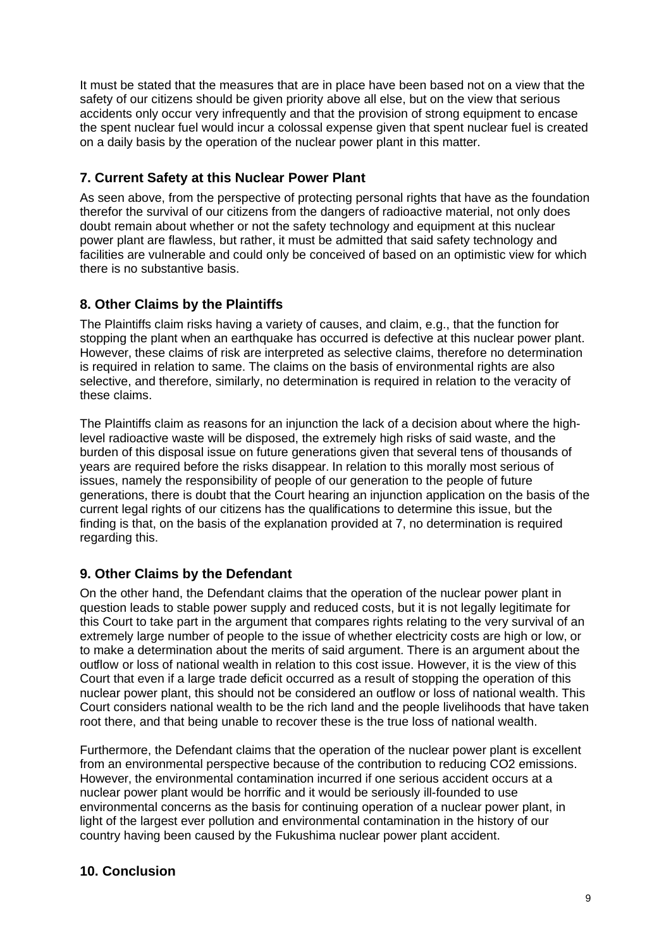It must be stated that the measures that are in place have been based not on a view that the safety of our citizens should be given priority above all else, but on the view that serious accidents only occur very infrequently and that the provision of strong equipment to encase the spent nuclear fuel would incur a colossal expense given that spent nuclear fuel is created on a daily basis by the operation of the nuclear power plant in this matter.

## **7. Current Safety at this Nuclear Power Plant**

As seen above, from the perspective of protecting personal rights that have as the foundation therefor the survival of our citizens from the dangers of radioactive material, not only does doubt remain about whether or not the safety technology and equipment at this nuclear power plant are flawless, but rather, it must be admitted that said safety technology and facilities are vulnerable and could only be conceived of based on an optimistic view for which there is no substantive basis.

# **8. Other Claims by the Plaintiffs**

The Plaintiffs claim risks having a variety of causes, and claim, e.g., that the function for stopping the plant when an earthquake has occurred is defective at this nuclear power plant. However, these claims of risk are interpreted as selective claims, therefore no determination is required in relation to same. The claims on the basis of environmental rights are also selective, and therefore, similarly, no determination is required in relation to the veracity of these claims.

The Plaintiffs claim as reasons for an injunction the lack of a decision about where the highlevel radioactive waste will be disposed, the extremely high risks of said waste, and the burden of this disposal issue on future generations given that several tens of thousands of years are required before the risks disappear. In relation to this morally most serious of issues, namely the responsibility of people of our generation to the people of future generations, there is doubt that the Court hearing an injunction application on the basis of the current legal rights of our citizens has the qualifications to determine this issue, but the finding is that, on the basis of the explanation provided at 7, no determination is required regarding this.

## **9. Other Claims by the Defendant**

On the other hand, the Defendant claims that the operation of the nuclear power plant in question leads to stable power supply and reduced costs, but it is not legally legitimate for this Court to take part in the argument that compares rights relating to the very survival of an extremely large number of people to the issue of whether electricity costs are high or low, or to make a determination about the merits of said argument. There is an argument about the outflow or loss of national wealth in relation to this cost issue. However, it is the view of this Court that even if a large trade deficit occurred as a result of stopping the operation of this nuclear power plant, this should not be considered an outflow or loss of national wealth. This Court considers national wealth to be the rich land and the people livelihoods that have taken root there, and that being unable to recover these is the true loss of national wealth.

Furthermore, the Defendant claims that the operation of the nuclear power plant is excellent from an environmental perspective because of the contribution to reducing CO2 emissions. However, the environmental contamination incurred if one serious accident occurs at a nuclear power plant would be horrific and it would be seriously ill-founded to use environmental concerns as the basis for continuing operation of a nuclear power plant, in light of the largest ever pollution and environmental contamination in the history of our country having been caused by the Fukushima nuclear power plant accident.

# **10. Conclusion**